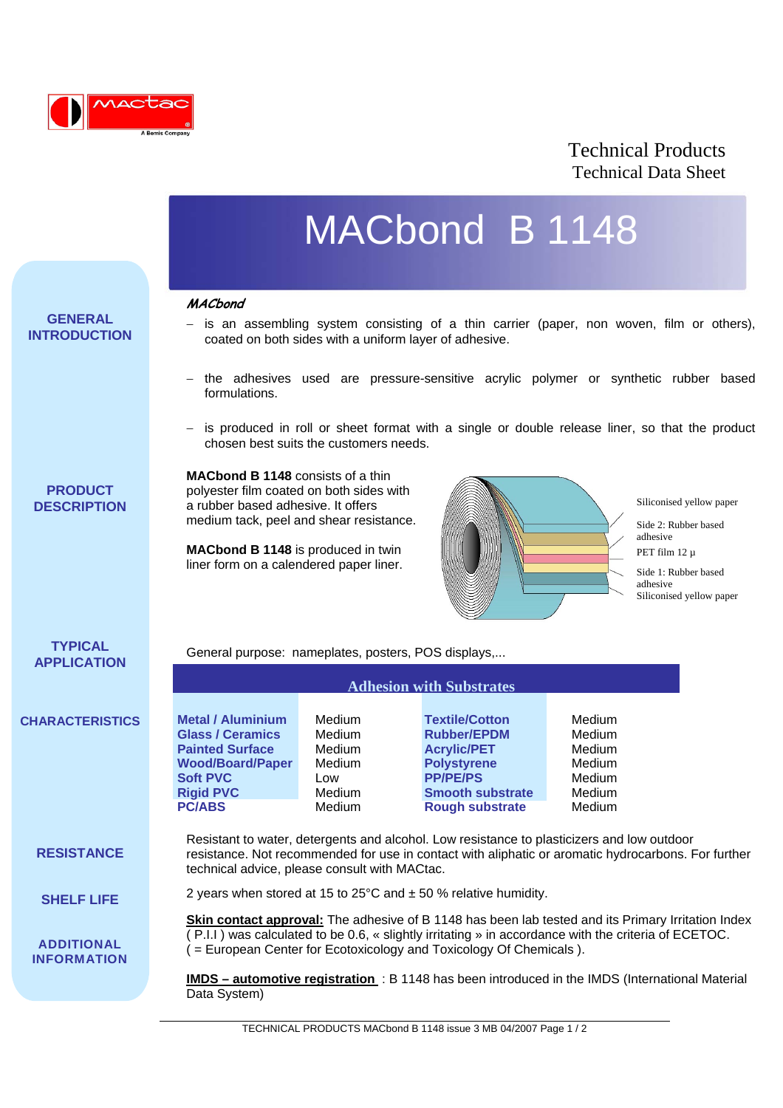

## Technical Products Technical Data Sheet

# MACbond B 1148

### **MACbond**

l

**GENERAL INTRODUCTION**

- is an assembling system consisting of a thin carrier (paper, non woven, film or others), coated on both sides with a uniform layer of adhesive.
- − the adhesives used are pressure-sensitive acrylic polymer or synthetic rubber based formulations.
- − is produced in roll or sheet format with a single or double release liner, so that the product chosen best suits the customers needs.

**PRODUCT DESCRIPTION** **MACbond B 1148** consists of a thin polyester film coated on both sides with a rubber based adhesive. It offers medium tack, peel and shear resistance.

**MACbond B 1148** is produced in twin liner form on a calendered paper liner.



Siliconised yellow paper

Side 2: Rubber based adhesive PET film 12 µ

Side 1: Rubber based adhesive Siliconised yellow paper

## **TYPICAL APPLICATION**

General purpose: nameplates, posters, POS displays,...

|                        |                          | <b>Adhesion with Substrates</b> |                         |               |  |
|------------------------|--------------------------|---------------------------------|-------------------------|---------------|--|
| <b>CHARACTERISTICS</b> | <b>Metal / Aluminium</b> | Medium                          | <b>Textile/Cotton</b>   | Medium        |  |
|                        | <b>Glass / Ceramics</b>  | Medium                          | <b>Rubber/EPDM</b>      | Medium        |  |
|                        | <b>Painted Surface</b>   | Medium                          | <b>Acrylic/PET</b>      | Medium        |  |
|                        | <b>Wood/Board/Paper</b>  | Medium                          | <b>Polystyrene</b>      | Medium        |  |
|                        | <b>Soft PVC</b>          | Low                             | <b>PP/PE/PS</b>         | Medium        |  |
|                        | <b>Rigid PVC</b>         | Medium                          | <b>Smooth substrate</b> | Medium        |  |
|                        | <b>PC/ABS</b>            | Medium                          | <b>Rough substrate</b>  | <b>Medium</b> |  |

**RESISTANCE**

Resistant to water, detergents and alcohol. Low resistance to plasticizers and low outdoor resistance. Not recommended for use in contact with aliphatic or aromatic hydrocarbons. For further technical advice, please consult with MACtac.

**SHELF LIFE**

**ADDITIONAL INFORMATION** 2 years when stored at 15 to  $25^{\circ}$ C and  $\pm$  50 % relative humidity.

**Skin contact approval:** The adhesive of B 1148 has been lab tested and its Primary Irritation Index ( P.I.I ) was calculated to be 0.6, « slightly irritating » in accordance with the criteria of ECETOC. ( = European Center for Ecotoxicology and Toxicology Of Chemicals ).

**IMDS – automotive registration** : B 1148 has been introduced in the IMDS (International Material Data System)